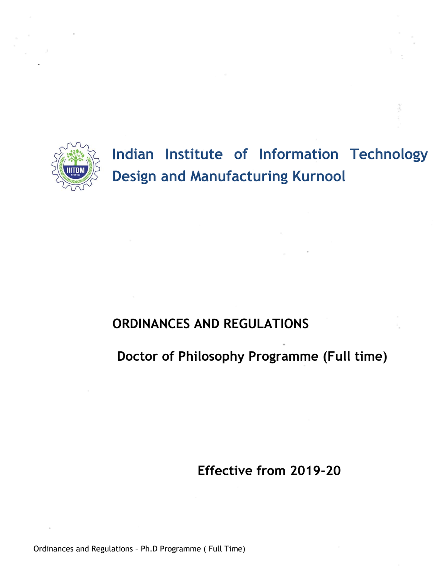

.

# **Indian Institute of Information Technology Design and Manufacturing Kurnool**

## **ORDINANCES AND REGULATIONS**

## **Doctor of Philosophy Programme (Full time)**

**Effective from 2019-20**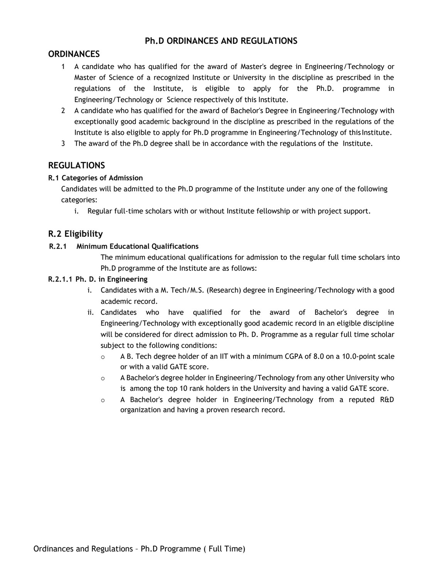## **Ph.D ORDINANCES AND REGULATIONS**

## **ORDINANCES**

- 1 A candidate who has qualified for the award of Master's degree in Engineering/Technology or Master of Science of a recognized Institute or University in the discipline as prescribed in the regulations of the Institute, is eligible to apply for the Ph.D. programme in Engineering/Technology or Science respectively of this Institute.
- 2 A candidate who has qualified for the award of Bachelor's Degree in Engineering/Technology with exceptionally good academic background in the discipline as prescribed in the regulations of the Institute is also eligible to apply for Ph.D programme in Engineering/Technology of this Institute.
- 3 The award of the Ph.D degree shall be in accordance with the regulations of the Institute.

## **REGULATIONS**

#### **R.1 Categories of Admission**

Candidates will be admitted to the Ph.D programme of the Institute under any one of the following categories:

i. Regular full-time scholars with or without Institute fellowship or with project support.

## **R.2 Eligibility**

#### **R.2.1 Minimum Educational Qualifications**

The minimum educational qualifications for admission to the regular full time scholars into Ph.D programme of the Institute are as follows:

#### **R.2.1.1 Ph. D. in Engineering**

- i. Candidates with a M. Tech/M.S. (Research) degree in Engineering/Technology with a good academic record.
- ii. Candidates who have qualified for the award of Bachelor's degree in Engineering/Technology with exceptionally good academic record in an eligible discipline will be considered for direct admission to Ph. D. Programme as a regular full time scholar subject to the following conditions:
	- $\circ$  A B. Tech degree holder of an IIT with a minimum CGPA of 8.0 on a 10.0-point scale or with a valid GATE score.
	- $\circ$  A Bachelor's degree holder in Engineering/Technology from any other University who is among the top 10 rank holders in the University and having a valid GATE score.
	- $\circ$  A Bachelor's degree holder in Engineering/Technology from a reputed R&D organization and having a proven research record.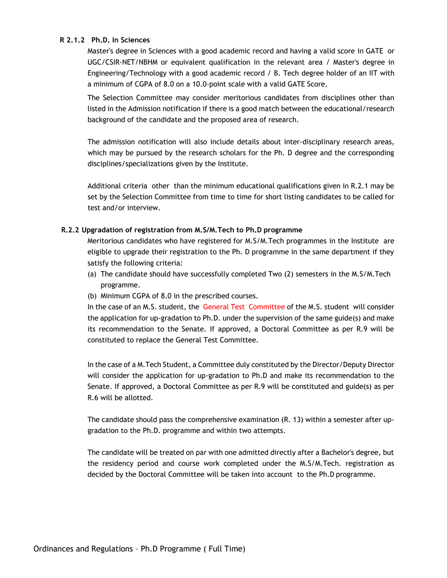#### **R 2.1.2 Ph.D. In Sciences**

Master's degree in Sciences with a good academic record and having a valid score in GATE or UGC/CSIR-NET/NBHM or equivalent qualification in the relevant area / Master's degree in Engineering/Technology with a good academic record / B. Tech degree holder of an IIT with a minimum of CGPA of 8.0 on a 10.0-point scale with a valid GATE Score.

The Selection Committee may consider meritorious candidates from disciplines other than listed in the Admission notification if there is a good match between the educational/research background of the candidate and the proposed area of research.

The admission notification will also include details about inter-disciplinary research areas, which may be pursued by the research scholars for the Ph. D degree and the corresponding disciplines/specializations given by the Institute.

Additional criteria other than the minimum educational qualifications given in R.2.1 may be set by the Selection Committee from time to time for short listing candidates to be called for test and/or interview.

#### **R.2.2 Upgradation of registration from M.S/M.Tech to Ph.D programme**

Meritorious candidates who have registered for M.S/M.Tech programmes in the Institute are eligible to upgrade their registration to the Ph. D programme in the same department if they satisfy the following criteria:

- (a) The candidate should have successfully completed Two (2) semesters in the M.S/M.Tech programme.
- (b) Minimum CGPA of 8.0 in the prescribed courses.

In the case of an M.S. student, the General Test Committee of the M.S. student will consider the application for up-gradation to Ph.D. under the supervision of the same guide(s) and make its recommendation to the Senate. If approved, a Doctoral Committee as per R.9 will be constituted to replace the General Test Committee.

In the case of a M.Tech Student, a Committee duly constituted by the Director/Deputy Director will consider the application for up-gradation to Ph.D and make its recommendation to the Senate. If approved, a Doctoral Committee as per R.9 will be constituted and guide(s) as per R.6 will be allotted.

The candidate should pass the comprehensive examination (R. 13) within a semester after upgradation to the Ph.D. programme and within two attempts.

The candidate will be treated on par with one admitted directly after a Bachelor's degree, but the residency period and course work completed under the M.S/M.Tech. registration as decided by the Doctoral Committee will be taken into account to the Ph.D programme.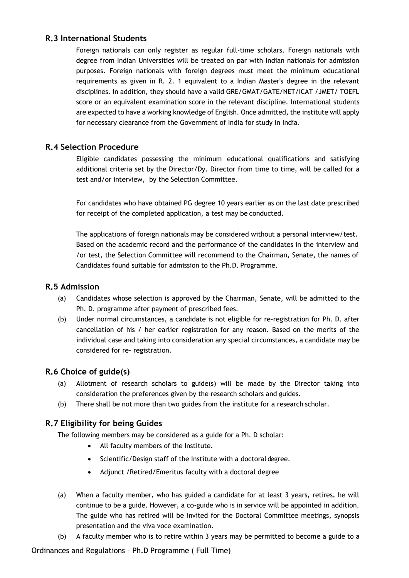## **R.3 International Students**

Foreign nationals can only register as regular full-time scholars. Foreign nationals with degree from Indian Universities will be treated on par with Indian nationals for admission purposes. Foreign nationals with foreign degrees must meet the minimum educational requirements as given in R. 2. 1 equivalent to a Indian Master's degree in the relevant disciplines. In addition, they should have a valid GRE/GMAT/GATE/NET/ICAT /JMET/ TOEFL score or an equivalent examination score in the relevant discipline. International students are expected to have a working knowledge of English. Once admitted, the institute will apply for necessary clearance from the Government of India for study in India.

## **R.4 Selection Procedure**

Eligible candidates possessing the minimum educational qualifications and satisfying additional criteria set by the Director/Dy. Director from time to time, will be called for a test and/or interview, by the Selection Committee.

For candidates who have obtained PG degree 10 years earlier as on the last date prescribed for receipt of the completed application, a test may be conducted.

The applications of foreign nationals may be considered without a personal interview/test. Based on the academic record and the performance of the candidates in the interview and /or test, the Selection Committee will recommend to the Chairman, Senate, the names of Candidates found suitable for admission to the Ph.D. Programme.

## **R.5 Admission**

- (a) Candidates whose selection is approved by the Chairman, Senate, will be admitted to the Ph. D. programme after payment of prescribed fees.
- (b) Under normal circumstances, a candidate is not eligible for re-registration for Ph. D. after cancellation of his / her earlier registration for any reason. Based on the merits of the individual case and taking into consideration any special circumstances, a candidate may be considered for re- registration.

## **R.6 Choice of guide(s)**

- (a) Allotment of research scholars to guide(s) will be made by the Director taking into consideration the preferences given by the research scholars and guides.
- (b) There shall be not more than two guides from the institute for a research scholar.

## **R.7 Eligibility for being Guides**

The following members may be considered as a guide for a Ph. D scholar:

- All faculty members of the Institute.
- Scientific/Design staff of the Institute with a doctoral degree.
- Adjunct /Retired/Emeritus faculty with a doctoral degree
- (a) When a faculty member, who has guided a candidate for at least 3 years, retires, he will continue to be a guide. However, a co-guide who is in service will be appointed in addition. The guide who has retired will be invited for the Doctoral Committee meetings, synopsis presentation and the viva voce examination.
- (b) A faculty member who is to retire within 3 years may be permitted to become a guide to a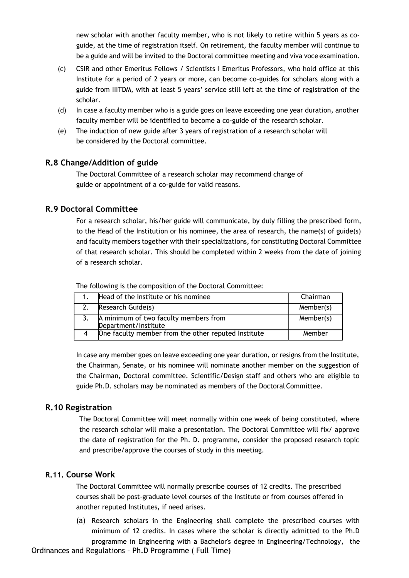new scholar with another faculty member, who is not likely to retire within 5 years as coguide, at the time of registration itself. On retirement, the faculty member will continue to be a guide and will be invited to the Doctoral committee meeting and viva voce examination.

- (c) CSIR and other Emeritus Fellows / Scientists I Emeritus Professors, who hold office at this Institute for a period of 2 years or more, can become co-guides for scholars along with a guide from IIITDM, with at least 5 years' service still left at the time of registration of the scholar.
- (d) In case a faculty member who is a guide goes on leave exceeding one year duration, another faculty member will be identified to become a co-guide of the research scholar.
- (e) The induction of new guide after 3 years of registration of a research scholar will be considered by the Doctoral committee.

#### **R.8 Change/Addition of guide**

The Doctoral Committee of a research scholar may recommend change of guide or appointment of a co-guide for valid reasons.

## **R.9 Doctoral Committee**

For a research scholar, his/her guide will communicate, by duly filling the prescribed form, to the Head of the Institution or his nominee, the area of research, the name(s) of guide(s) and faculty members together with their specializations, for constituting Doctoral Committee of that research scholar. This should be completed within 2 weeks from the date of joining of a research scholar.

The following is the composition of the Doctoral Committee:

| Head of the Institute or his nominee                          | Chairman  |
|---------------------------------------------------------------|-----------|
| Research Guide(s)                                             | Member(s) |
| A minimum of two faculty members from<br>Department/Institute | Member(s) |
| One faculty member from the other reputed Institute           | Member    |

In case any member goes on leave exceeding one year duration, or resigns from the Institute, the Chairman, Senate, or his nominee will nominate another member on the suggestion of the Chairman, Doctoral committee. Scientific/Design staff and others who are eligible to guide Ph.D. scholars may be nominated as members of the Doctoral Committee.

#### **R.10 Registration**

The Doctoral Committee will meet normally within one week of being constituted, where the research scholar will make a presentation. The Doctoral Committee will fix/ approve the date of registration for the Ph. D. programme, consider the proposed research topic and prescribe/approve the courses of study in this meeting.

#### **R.11. Course Work**

The Doctoral Committee will normally prescribe courses of 12 credits. The prescribed courses shall be post-graduate level courses of the Institute or from courses offered in another reputed Institutes, if need arises.

(a) Research scholars in the Engineering shall complete the prescribed courses with minimum of 12 credits. In cases where the scholar is directly admitted to the Ph.D programme in Engineering with a Bachelor's degree in Engineering/Technology, the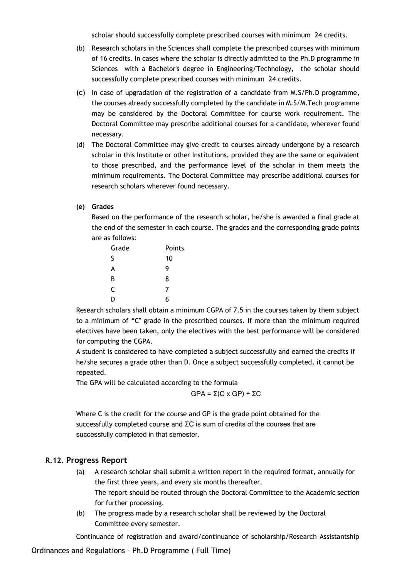scholar should successfully complete prescribed courses with minimum 24 credits.

- (b) Research scholars in the Sciences shall complete the prescribed courses with minimum of 16 credits. In cases where the scholar is directly admitted to the Ph.D programme in Sciences with a Bachelor's degree in Engineering/Technology, the scholar should successfully complete prescribed courses with minimum 24 credits.
- (c) In case of upgradation of the registration of a candidate from M.S/Ph.D programme, the courses already successfully completed by the candidate in M.S/M.Tech programme may be considered by the Doctoral Committee for course work requirement. The Doctoral Committee may prescribe additional courses for a candidate, wherever found necessary.
- (d) The Doctoral Committee may give credit to courses already undergone by a research scholar in this Institute or other Institutions, provided they are the same or equivalent to those prescribed, and the performance level of the scholar in them meets the minimum requirements. The Doctoral Committee may prescribe additional courses for research scholars wherever found necessary.

#### **(e) Grades**

Based on the performance of the research scholar, he/she is awarded a final grade at the end of the semester in each course. The grades and the corresponding grade points are as follows:

| Grade | Points |
|-------|--------|
| S     | 10     |
| A     | 9      |
| В     | 8      |
| C     | 7      |
| D     | 6      |

Research scholars shall obtain a minimum CGPA of 7.5 in the courses taken by them subject to a minimum of "C" grade in the prescribed courses. If more than the minimum required electives have been taken, only the electives with the best performance will be considered for computing the CGPA.

A student is considered to have completed a subject successfully and earned the credits if he/she secures a grade other than D. Once a subject successfully completed, it cannot be repeated.

The GPA will be calculated according to the formula

GPA = Σ(C x GP) ÷ ΣC

Where C is the credit for the course and GP is the grade point obtained for the successfully completed course and ΣC is sum of credits of the courses that are successfully completed in that semester.

#### **R.12. Progress Report**

- (a) A research scholar shall submit a written report in the required format, annually for the first three years, and every six months thereafter. The report should be routed through the Doctoral Committee to the Academic section for further processing.
- (b) The progress made by a research scholar shall be reviewed by the Doctoral Committee every semester.

Continuance of registration and award/continuance of scholarship/Research Assistantship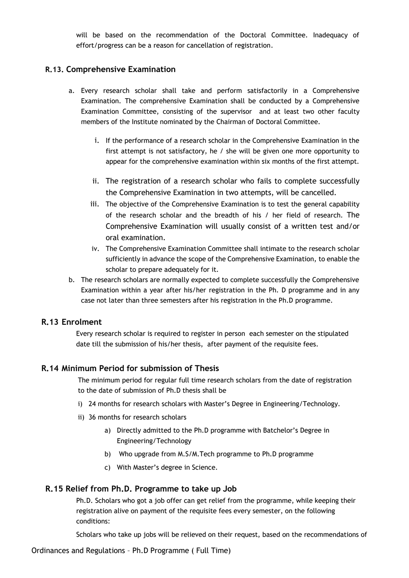will be based on the recommendation of the Doctoral Committee. Inadequacy of effort/progress can be a reason for cancellation of registration.

## **R.13. Comprehensive Examination**

- a. Every research scholar shall take and perform satisfactorily in a Comprehensive Examination. The comprehensive Examination shall be conducted by a Comprehensive Examination Committee, consisting of the supervisor and at least two other faculty members of the Institute nominated by the Chairman of Doctoral Committee.
	- i. If the performance of a research scholar in the Comprehensive Examination in the first attempt is not satisfactory, he / she will be given one more opportunity to appear for the comprehensive examination within six months of the first attempt.
	- ii. The registration of a research scholar who fails to complete successfully the Comprehensive Examination in two attempts, will be cancelled.
	- iii. The objective of the Comprehensive Examination is to test the general capability of the research scholar and the breadth of his / her field of research. The Comprehensive Examination will usually consist of a written test and/or oral examination.
	- iv. The Comprehensive Examination Committee shall intimate to the research scholar sufficiently in advance the scope of the Comprehensive Examination, to enable the scholar to prepare adequately for it.
- b. The research scholars are normally expected to complete successfully the Comprehensive Examination within a year after his/her registration in the Ph. D programme and in any case not later than three semesters after his registration in the Ph.D programme.

## **R.13 Enrolment**

Every research scholar is required to register in person each semester on the stipulated date till the submission of his/her thesis, after payment of the requisite fees.

#### **R.14 Minimum Period for submission of Thesis**

The minimum period for regular full time research scholars from the date of registration to the date of submission of Ph.D thesis shall be

- i) 24 months for research scholars with Master's Degree in Engineering/Technology.
- ii) 36 months for research scholars
	- a) Directly admitted to the Ph.D programme with Batchelor's Degree in Engineering/Technology
	- b) Who upgrade from M.S/M.Tech programme to Ph.D programme
	- c) With Master's degree in Science.

#### **R.15 Relief from Ph.D. Programme to take up Job**

Ph.D. Scholars who got a job offer can get relief from the programme, while keeping their registration alive on payment of the requisite fees every semester, on the following conditions:

Scholars who take up jobs will be relieved on their request, based on the recommendations of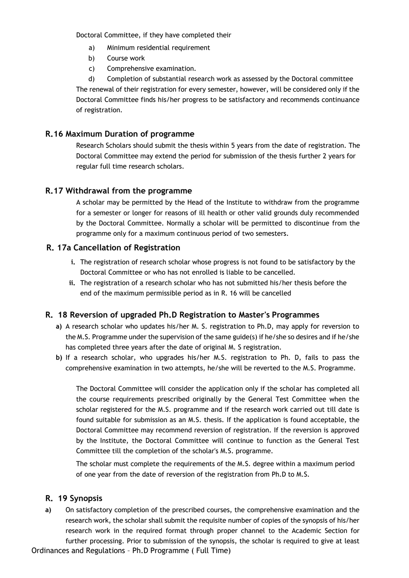Doctoral Committee, if they have completed their

- a) Minimum residential requirement
- b) Course work
- c) Comprehensive examination.

d) Completion of substantial research work as assessed by the Doctoral committee The renewal of their registration for every semester, however, will be considered only if the Doctoral Committee finds his/her progress to be satisfactory and recommends continuance of registration.

## **R.16 Maximum Duration of programme**

Research Scholars should submit the thesis within 5 years from the date of registration. The Doctoral Committee may extend the period for submission of the thesis further 2 years for regular full time research scholars.

## **R.17 Withdrawal from the programme**

A scholar may be permitted by the Head of the Institute to withdraw from the programme for a semester or longer for reasons of ill health or other valid grounds duly recommended by the Doctoral Committee. Normally a scholar will be permitted to discontinue from the programme only for a maximum continuous period of two semesters.

## **R. 17a Cancellation of Registration**

- **i.** The registration of research scholar whose progress is not found to be satisfactory by the Doctoral Committee or who has not enrolled is liable to be cancelled.
- **ii.** The registration of a research scholar who has not submitted his/her thesis before the end of the maximum permissible period as in R. 16 will be cancelled

## **R. 18 Reversion of upgraded Ph.D Registration to Master's Programmes**

- **a)** A research scholar who updates his/her M. S. registration to Ph.D, may apply for reversion to the M.S. Programme under the supervision of the same guide(s) if he/she so desires and if he/she has completed three years after the date of original M. S registration.
- **b)** If a research scholar, who upgrades his/her M.S. registration to Ph. D, fails to pass the comprehensive examination in two attempts, he/she will be reverted to the M.S. Programme.

The Doctoral Committee will consider the application only if the scholar has completed all the course requirements prescribed originally by the General Test Committee when the scholar registered for the M.S. programme and if the research work carried out till date is found suitable for submission as an M.S. thesis. If the application is found acceptable, the Doctoral Committee may recommend reversion of registration. If the reversion is approved by the Institute, the Doctoral Committee will continue to function as the General Test Committee till the completion of the scholar's M.S. programme.

The scholar must complete the requirements of the M.S. degree within a maximum period of one year from the date of reversion of the registration from Ph.D to M.S.

#### **R. 19 Synopsis**

Ordinances and Regulations – Ph.D Programme ( Full Time) **a)** On satisfactory completion of the prescribed courses, the comprehensive examination and the research work, the scholar shall submit the requisite number of copies of the synopsis of his/her research work in the required format through proper channel to the Academic Section for further processing. Prior to submission of the synopsis, the scholar is required to give at least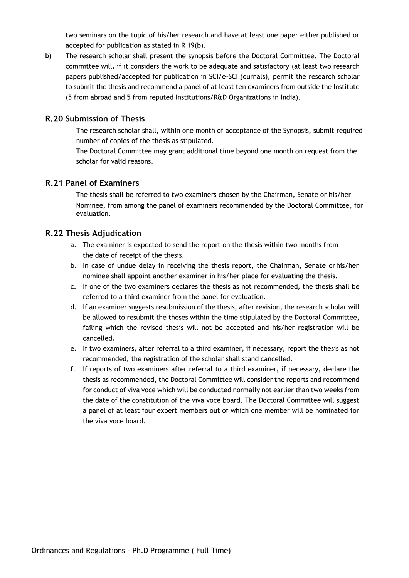two seminars on the topic of his/her research and have at least one paper either published or accepted for publication as stated in R 19(b).

**b)** The research scholar shall present the synopsis before the Doctoral Committee. The Doctoral committee will, if it considers the work to be adequate and satisfactory (at least two research papers published/accepted for publication in SCI/e-SCI journals), permit the research scholar to submit the thesis and recommend a panel of at least ten examiners from outside the Institute (5 from abroad and 5 from reputed Institutions/R&D Organizations in India).

## **R.20 Submission of Thesis**

The research scholar shall, within one month of acceptance of the Synopsis, submit required number of copies of the thesis as stipulated.

The Doctoral Committee may grant additional time beyond one month on request from the scholar for valid reasons.

#### **R.21 Panel of Examiners**

The thesis shall be referred to two examiners chosen by the Chairman, Senate or his/her Nominee, from among the panel of examiners recommended by the Doctoral Committee, for evaluation.

#### **R.22 Thesis Adjudication**

- a. The examiner is expected to send the report on the thesis within two months from the date of receipt of the thesis.
- b. In case of undue delay in receiving the thesis report, the Chairman, Senate or his/her nominee shall appoint another examiner in his/her place for evaluating the thesis.
- c. If one of the two examiners declares the thesis as not recommended, the thesis shall be referred to a third examiner from the panel for evaluation.
- d. If an examiner suggests resubmission of the thesis, after revision, the research scholar will be allowed to resubmit the theses within the time stipulated by the Doctoral Committee, failing which the revised thesis will not be accepted and his/her registration will be cancelled.
- e. If two examiners, after referral to a third examiner, if necessary, report the thesis as not recommended, the registration of the scholar shall stand cancelled.
- f. If reports of two examiners after referral to a third examiner, if necessary, declare the thesis as recommended, the Doctoral Committee will consider the reports and recommend for conduct of viva voce which will be conducted normally not earlier than two weeks from the date of the constitution of the viva voce board. The Doctoral Committee will suggest a panel of at least four expert members out of which one member will be nominated for the viva voce board.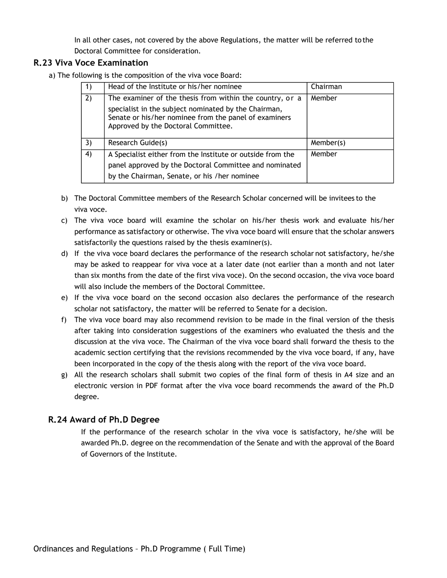In all other cases, not covered by the above Regulations, the matter will be referred to the Doctoral Committee for consideration.

## **R.23 Viva Voce Examination**

a) The following is the composition of the viva voce Board:

| 1) | Head of the Institute or his/her nominee                                                                                                                                                                         | Chairman  |
|----|------------------------------------------------------------------------------------------------------------------------------------------------------------------------------------------------------------------|-----------|
| 2) | The examiner of the thesis from within the country, or a<br>specialist in the subject nominated by the Chairman,<br>Senate or his/her nominee from the panel of examiners<br>Approved by the Doctoral Committee. | Member    |
| 3) | Research Guide(s)                                                                                                                                                                                                | Member(s) |
| 4) | A Specialist either from the Institute or outside from the<br>panel approved by the Doctoral Committee and nominated<br>by the Chairman, Senate, or his /her nominee                                             | Member    |

- b) The Doctoral Committee members of the Research Scholar concerned will be invitees to the viva voce.
- c) The viva voce board will examine the scholar on his/her thesis work and evaluate his/her performance as satisfactory or otherwise. The viva voce board will ensure that the scholar answers satisfactorily the questions raised by the thesis examiner(s).
- d) If the viva voce board declares the performance of the research scholar not satisfactory, he/she may be asked to reappear for viva voce at a later date (not earlier than a month and not later than six months from the date of the first viva voce). On the second occasion, the viva voce board will also include the members of the Doctoral Committee.
- e) If the viva voce board on the second occasion also declares the performance of the research scholar not satisfactory, the matter will be referred to Senate for a decision.
- f) The viva voce board may also recommend revision to be made in the final version of the thesis after taking into consideration suggestions of the examiners who evaluated the thesis and the discussion at the viva voce. The Chairman of the viva voce board shall forward the thesis to the academic section certifying that the revisions recommended by the viva voce board, if any, have been incorporated in the copy of the thesis along with the report of the viva voce board.
- g) All the research scholars shall submit two copies of the final form of thesis in A4 size and an electronic version in PDF format after the viva voce board recommends the award of the Ph.D degree.

## **R.24 Award of Ph.D Degree**

If the performance of the research scholar in the viva voce is satisfactory, he/she will be awarded Ph.D. degree on the recommendation of the Senate and with the approval of the Board of Governors of the Institute.